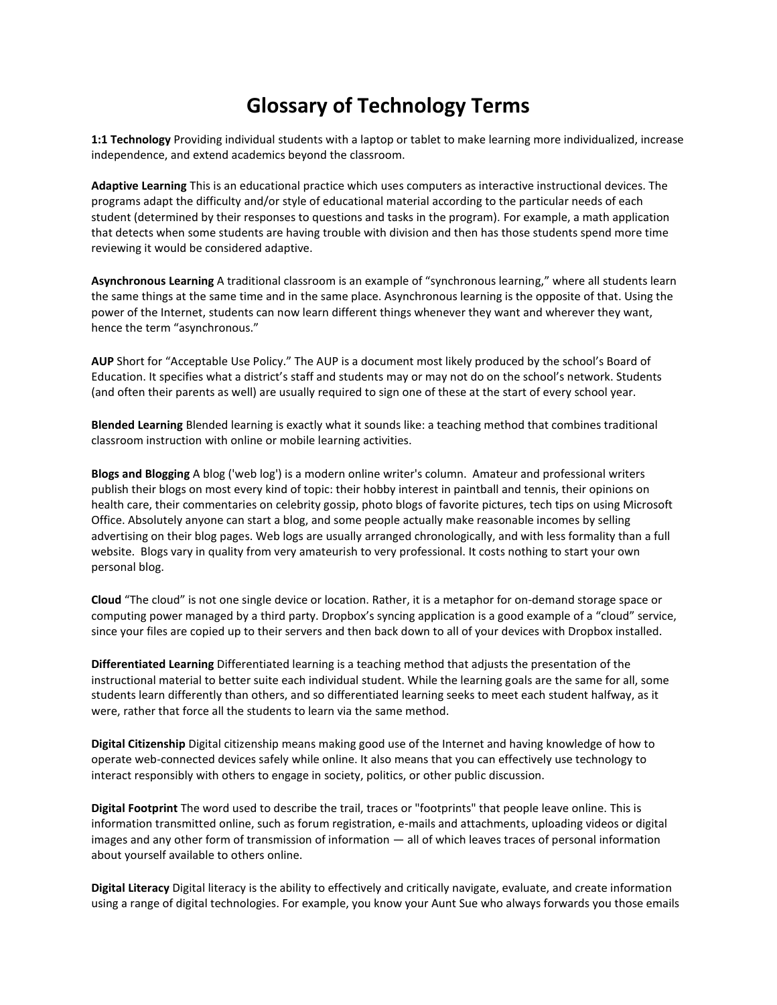## **Glossary of Technology Terms**

**1:1 Technology** Providing individual students with a laptop or tablet to make learning more individualized, increase independence, and extend academics beyond the classroom.

**Adaptive Learning** This is an educational practice which uses computers as interactive instructional devices. The programs adapt the difficulty and/or style of educational material according to the particular needs of each student (determined by their responses to questions and tasks in the program). For example, a math application that detects when some students are having trouble with division and then has those students spend more time reviewing it would be considered adaptive.

**Asynchronous Learning** A traditional classroom is an example of "synchronous learning," where all students learn the same things at the same time and in the same place. Asynchronous learning is the opposite of that. Using the power of the Internet, students can now learn different things whenever they want and wherever they want, hence the term "asynchronous."

**AUP** Short for "Acceptable Use Policy." The AUP is a document most likely produced by the school's Board of Education. It specifies what a district's staff and students may or may not do on the school's network. Students (and often their parents as well) are usually required to sign one of these at the start of every school year.

**Blended Learning** Blended learning is exactly what it sounds like: a teaching method that combines traditional classroom instruction with online or mobile learning activities.

**Blogs and Blogging** A blog ('web log') is a modern online writer's column. Amateur and professional writers publish their blogs on most every kind of topic: their hobby interest in paintball and tennis, their opinions on health care, their commentaries on celebrity gossip, photo blogs of favorite pictures, tech tips on using Microsoft Office. Absolutely anyone can start a blog, and some people actually make reasonable incomes by selling advertising on their blog pages. Web logs are usually arranged chronologically, and with less formality than a full website. Blogs vary in quality from very amateurish to very professional. It costs nothing to start your own personal blog.

**Cloud** "The cloud" is not one single device or location. Rather, it is a metaphor for on-demand storage space or computing power managed by a third party. [Dropbox's syncing application](https://www.dropbox.com/) is a good example of a "cloud" service, since your files are copied up to their servers and then back down to all of your devices with Dropbox installed.

**Differentiated Learning** Differentiated learning is a teaching method that adjusts the presentation of the instructional material to better suite each individual student. While the learning goals are the same for all, some students learn differently than others, and so differentiated learning seeks to meet each student halfway, as it were, rather that force all the students to learn via the same method.

**Digital Citizenship** Digital citizenship means making good use of the Internet and having knowledge of how to operate web-connected devices safely while online. It also means that you can effectively use technology to interact responsibly with others to engage in society, politics, or other public discussion.

**Digital Footprint** The word used to describe the trail, traces or "footprints" that people leave online. This is information transmitted online, such as forum registration, e-mails and attachments, uploading videos or digital images and any other form of transmission of information — all of which leaves traces of personal information about yourself available to others online.

**Digital Literacy** Digital literacy is the ability to effectively and critically navigate, evaluate, and create information using a range of digital technologies. For example, you know your Aunt Sue who always forwards you those emails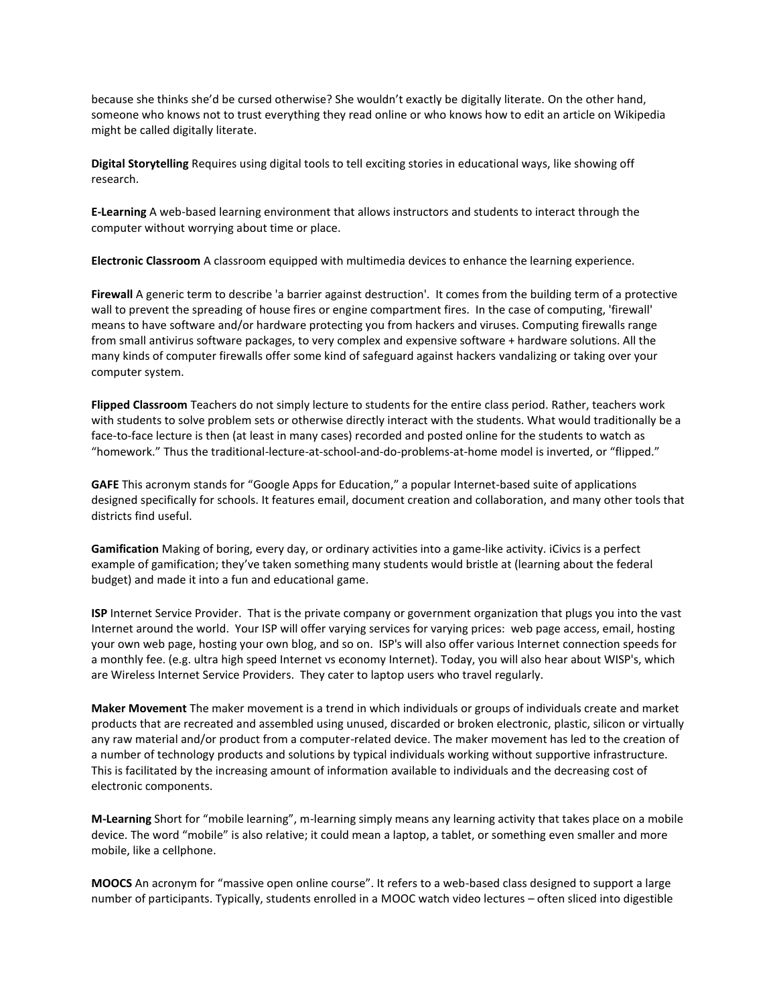because she thinks she'd be cursed otherwise? She wouldn't exactly be digitally literate. On the other hand, someone who knows not to trust everything they read online or who knows how to edit an article on Wikipedia might be called digitally literate.

**Digital Storytelling** Requires using digital tools to tell exciting stories in educational ways, like showing off research.

**E-Learning** A web-based learning environment that allows instructors and students to interact through the computer without worrying about time or place.

**Electronic Classroom** A classroom equipped with multimedia devices to enhance the learning experience.

**Firewall** A generic term to describe 'a barrier against destruction'. It comes from the building term of a protective wall to prevent the spreading of house fires or engine compartment fires. In the case of computing, 'firewall' means to have software and/or hardware protecting you from hackers and viruses. Computing firewalls range from small antivirus software packages, to very complex and expensive software + hardware solutions. All the many kinds of computer firewalls offer some kind of safeguard against hackers vandalizing or taking over your computer system.

**Flipped Classroom** Teachers do not simply lecture to students for the entire class period. Rather, teachers work with students to solve problem sets or otherwise directly interact with the students. What would traditionally be a face-to-face lecture is then (at least in many cases) recorded and posted online for the students to watch as "homework." Thus the traditional-lecture-at-school-and-do-problems-at-home model is inverted, or "flipped."

**GAFE** This acronym stands for "[Google Apps for Education](http://www.google.com/enterprise/apps/education/)," a popular Internet-based suite of applications designed specifically for schools. It features email, document creation and collaboration, and many other tools that districts find useful.

**Gamification** Making of boring, every day, or ordinary activities into a game-like activity. [iCivics](http://www.icivics.org/) is a perfect example of gamification; they've taken something many students would bristle at (learning about the federal budget) and [made it into a fun and educational game.](http://www.icivics.org/games/peoples-pie)

**ISP** Internet Service Provider. That is the private company or government organization that plugs you into the vast Internet around the world. Your ISP will offer varying services for varying prices: web page access, email, hosting your own web page, hosting your own blog, and so on. ISP's will also offer various Internet connection speeds for a monthly fee. (e.g. ultra high speed Internet vs economy Internet). Today, you will also hear about WISP's, which are Wireless Internet Service Providers. They cater to laptop users who travel regularly.

**Maker Movement** The maker movement is a trend in which individuals or groups of individuals create and market products that are recreated and assembled using unused, discarded or broken electronic, plastic, silicon or virtually any raw material and/or product from a computer-related device. The maker movement has led to the creation of a number of technology products and solutions by typical individuals working without supportive infrastructure. This is facilitated by the increasing amount of information available to individuals and the decreasing cost of electronic components.

**M-Learning** Short for "mobile learning", m-learning simply means any learning activity that takes place on a mobile device. The word "mobile" is also relative; it could mean a laptop, a tablet, or something even smaller and more mobile, like a cellphone.

**MOOCS** An acronym for "massive open online course". It refers to a web-based class designed to support a large number of participants. Typically, students enrolled in a MOOC watch video lectures – often sliced into digestible